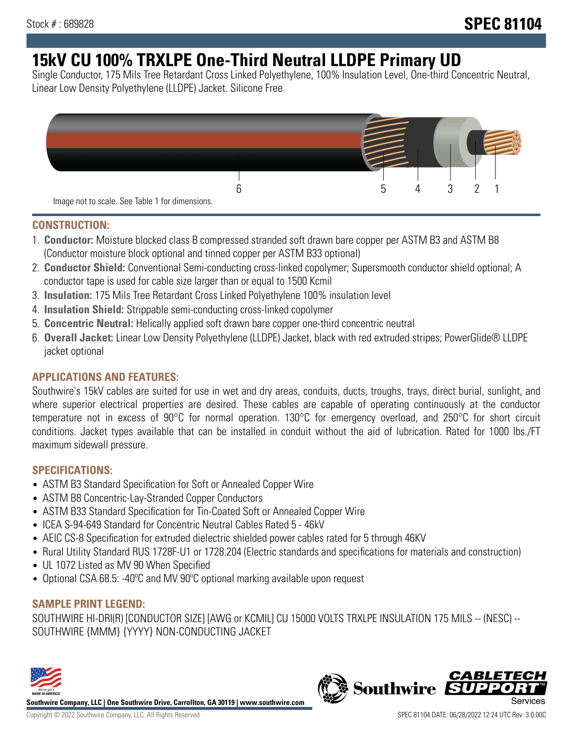# **15kV CU 100% TRXLPE One-Third Neutral LLDPE Primary UD**

Single Conductor, 175 Mils Tree Retardant Cross Linked Polyethylene, 100% Insulation Level, One-third Concentric Neutral, Linear Low Density Polyethylene (LLDPE) Jacket. Silicone Free



### **CONSTRUCTION:**

- 1. **Conductor:** Moisture blocked class B compressed stranded soft drawn bare copper per ASTM B3 and ASTM B8 (Conductor moisture block optional and tinned copper per ASTM B33 optional)
- 2. **Conductor Shield:** Conventional Semi-conducting cross-linked copolymer; Supersmooth conductor shield optional; A conductor tape is used for cable size larger than or equal to 1500 Kcmil
- 3. **Insulation:** 175 Mils Tree Retardant Cross Linked Polyethylene 100% insulation level
- 4. **Insulation Shield:** Strippable semi-conducting cross-linked copolymer
- 5. **Concentric Neutral:** Helically applied soft drawn bare copper one-third concentric neutral
- 6. **Overall Jacket:** Linear Low Density Polyethylene (LLDPE) Jacket, black with red extruded stripes; PowerGlide® LLDPE jacket optional

### **APPLICATIONS AND FEATURES:**

Southwire's 15kV cables are suited for use in wet and dry areas, conduits, ducts, troughs, trays, direct burial, sunlight, and where superior electrical properties are desired. These cables are capable of operating continuously at the conductor temperature not in excess of 90°C for normal operation. 130°C for emergency overload, and 250°C for short circuit conditions. Jacket types available that can be installed in conduit without the aid of lubrication. Rated for 1000 lbs./FT maximum sidewall pressure.

### **SPECIFICATIONS:**

- ASTM B3 Standard Specification for Soft or Annealed Copper Wire
- ASTM B8 Concentric-Lay-Stranded Copper Conductors
- ASTM B33 Standard Specification for Tin-Coated Soft or Annealed Copper Wire
- ICEA S-94-649 Standard for Concentric Neutral Cables Rated 5 46kV
- AEIC CS-8 Specification for extruded dielectric shielded power cables rated for 5 through 46KV
- Rural Utility Standard RUS 1728F-U1 or 1728.204 (Electric standards and specifications for materials and construction)
- UL 1072 Listed as MV 90 When Specified
- Optional CSA 68.5: -40ºC and MV 90ºC optional marking available upon request

## **SAMPLE PRINT LEGEND:**

SOUTHWIRE HI-DRI(R) [CONDUCTOR SIZE] [AWG or KCMIL] CU 15000 VOLTS TRXLPE INSULATION 175 MILS -- (NESC) -- SOUTHWIRE {MMM} {YYYY} NON-CONDUCTING JACKET



**Southwire Company, LLC | One Southwire Drive, Carrollton, GA 30119 | www.southwire.com**

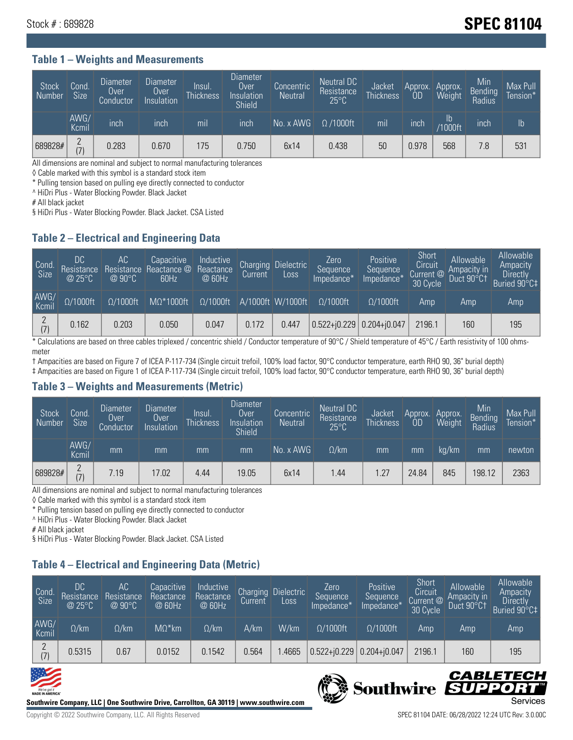## Stock # : 689828 **SPEC 81104**

#### **Table 1 – Weights and Measurements**

| Stock<br>Number | Cond.<br><b>Size</b> | <b>Diameter</b><br>Over<br>Conductor | Diameter<br>Over<br>Insulation | Insul.<br><b>Thickness</b> | <b>Diameter</b><br>Over<br>Insulation<br><b>Shield</b> | Concentric<br><b>Neutral</b> | Neutral DC<br>Resistance<br>$25^{\circ}$ C | Jacket<br><b>Thickness</b> | Approx.<br><b>OD</b> | Approx.<br>Weight | Min<br><b>Bending</b><br>Radius | Max Pull<br>Tension* |
|-----------------|----------------------|--------------------------------------|--------------------------------|----------------------------|--------------------------------------------------------|------------------------------|--------------------------------------------|----------------------------|----------------------|-------------------|---------------------------------|----------------------|
|                 | AWG/<br>Kcmil        | inch                                 | inch                           | mil                        | inch                                                   | No. x AWG                    | $\Omega$ /1000ft                           | mil                        | inch                 | Ib<br>/1000ft     | inch                            | $\mathsf{lb}$        |
| 689828#         | $\Omega$<br>(7)      | 0.283                                | 0.670                          | 175                        | 0.750                                                  | 6x14                         | 0.438                                      | 50                         | 0.978                | 568               | 7.8                             | 531                  |

All dimensions are nominal and subject to normal manufacturing tolerances

◊ Cable marked with this symbol is a standard stock item

\* Pulling tension based on pulling eye directly connected to conductor

^ HiDri Plus - Water Blocking Powder. Black Jacket

# All black jacket

§ HiDri Plus - Water Blocking Powder. Black Jacket. CSA Listed

### **Table 2 – Electrical and Engineering Data**

| Cond.<br>Size | DC<br>Resistance<br>@25°C | <b>AC</b><br>Resistance<br>$@90^{\circ}C$ | Capacitive<br>Reactance @<br>60Hz | Inductive<br>Reactance<br>@ 60Hz | Charging<br>Current | <b>Dielectric</b><br>Loss | Zero<br>Sequence<br>Impedance* | Positive<br>Sequence<br>Impedance <sup>+</sup> | Short<br>Circuit <sup>'</sup><br>Current @<br>30 Cycle | Allowable<br><b>Ampacity in</b><br>Duct 90°C1 | Allowable<br>Ampacity<br><b>Directly</b><br>Buried 90°C‡ |
|---------------|---------------------------|-------------------------------------------|-----------------------------------|----------------------------------|---------------------|---------------------------|--------------------------------|------------------------------------------------|--------------------------------------------------------|-----------------------------------------------|----------------------------------------------------------|
| AWG/<br>Kcmil | $\Omega/1000$ ft          | $\Omega/1000$ ft                          | $M\Omega^*1000ft$                 | $\Omega/1000$ ft                 |                     | A/1000ft W/1000ft         | $\Omega/1000$ ft               | $\Omega/1000$ ft                               | Amp                                                    | Amp                                           | Amp                                                      |
| (7)           | 0.162                     | 0.203                                     | 0.050                             | 0.047                            | 0.172               | 0.447                     | $0.522 + 0.229$ 0.204+ $0.047$ |                                                | 2196.1                                                 | 160                                           | 195                                                      |

\* Calculations are based on three cables triplexed / concentric shield / Conductor temperature of 90°C / Shield temperature of 45°C / Earth resistivity of 100 ohmsmeter

† Ampacities are based on Figure 7 of ICEA P-117-734 (Single circuit trefoil, 100% load factor, 90°C conductor temperature, earth RHO 90, 36" burial depth) ‡ Ampacities are based on Figure 1 of ICEA P-117-734 (Single circuit trefoil, 100% load factor, 90°C conductor temperature, earth RHO 90, 36" burial depth)

### **Table 3 – Weights and Measurements (Metric)**

| Stock<br>Number | Cond.<br><b>Size</b> | <b>Diameter</b><br>Over<br>Conductor | Diameter<br>Over<br>Insulation | <b>Insul</b><br><b>Thickness</b> | <b>Diameter</b><br>Over<br>Insulation<br><b>Shield</b> | Concentric<br><b>Neutral</b> | Neutral DC<br>Resistance<br>$25^{\circ}$ C | Jacket<br><b>Thickness</b> | Approx.<br>0D | Approx.<br>Weight | Min<br>Bending<br>Radius | Max Pull<br>Tension* |
|-----------------|----------------------|--------------------------------------|--------------------------------|----------------------------------|--------------------------------------------------------|------------------------------|--------------------------------------------|----------------------------|---------------|-------------------|--------------------------|----------------------|
|                 | AWG/<br>Kcmil        | mm                                   | mm                             | mm                               | mm                                                     | No. x AWG                    | $\Omega$ /km                               | mm                         | mm            | ka/km             | mm                       | newton               |
| 689828#         | $\Omega$<br>(7)      | 7.19                                 | 17.02                          | 4.44                             | 19.05                                                  | 6x14                         | l.44                                       | 1.27                       | 24.84         | 845               | 198.12                   | 2363                 |

All dimensions are nominal and subject to normal manufacturing tolerances

◊ Cable marked with this symbol is a standard stock item

\* Pulling tension based on pulling eye directly connected to conductor

^ HiDri Plus - Water Blocking Powder. Black Jacket

# All black jacket

§ HiDri Plus - Water Blocking Powder. Black Jacket. CSA Listed

### **Table 4 – Electrical and Engineering Data (Metric)**

| Cond<br>Size  | DC<br>Resistance<br>@25°C | <b>AC</b><br>Resistance<br>$@90^{\circ}C$ | Capacitive<br>Reactance<br>@ 60Hz | Inductive<br>Reactance<br>@ 60Hz | Charging<br>Current | <b>Dielectric</b><br>Loss | Zero.<br>Sequence<br>Impedance* | Positive<br>Sequence<br>Impedance* | Short<br>Circuit<br>Current @<br>30 Cycle | Allowable<br>Ampacity in<br>Duct 90°Ct | Allowable<br>Ampacity<br><b>Directly</b><br>Buried 90°C‡ |
|---------------|---------------------------|-------------------------------------------|-----------------------------------|----------------------------------|---------------------|---------------------------|---------------------------------|------------------------------------|-------------------------------------------|----------------------------------------|----------------------------------------------------------|
| AWG/<br>Kcmil | $\Omega$ /km              | $\Omega$ /km                              | $M\Omega^*$ km                    | $\Omega$ /km                     | A/km                | W/km                      | $\Omega/1000$ ft                | $\Omega/1000$ ft                   | Amp                                       | Amp                                    | Amp                                                      |
| (7)           | 0.5315                    | 0.67                                      | 0.0152                            | 0.1542                           | 0.564               | .4665                     | $0.522 + 0.229$                 | $0.204 + j0.047$                   | 2196.1                                    | 160                                    | 195                                                      |